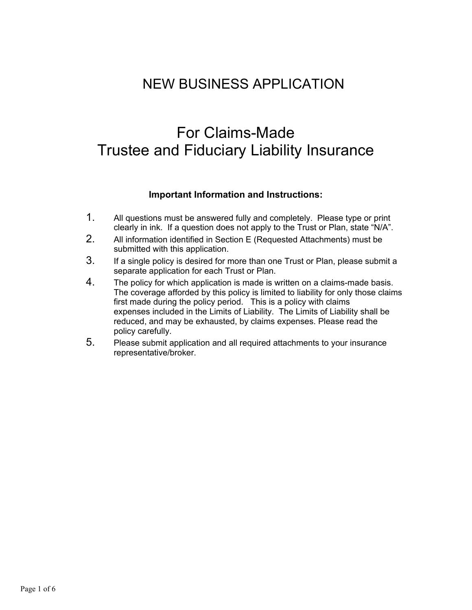## NEW BUSINESS APPLICATION

# For Claims-Made Trustee and Fiduciary Liability Insurance

#### **Important Information and Instructions:**

- 1. All questions must be answered fully and completely. Please type or print clearly in ink. If a question does not apply to the Trust or Plan, state "N/A".
- 2. All information identified in Section E (Requested Attachments) must be submitted with this application.
- 3. If a single policy is desired for more than one Trust or Plan, please submit a separate application for each Trust or Plan.
- 4. The policy for which application is made is written on a claims-made basis. The coverage afforded by this policy is limited to liability for only those claims first made during the policy period. This is a policy with claims expenses included in the Limits of Liability. The Limits of Liability shall be reduced, and may be exhausted, by claims expenses. Please read the policy carefully.
- 5. Please submit application and all required attachments to your insurance representative/broker.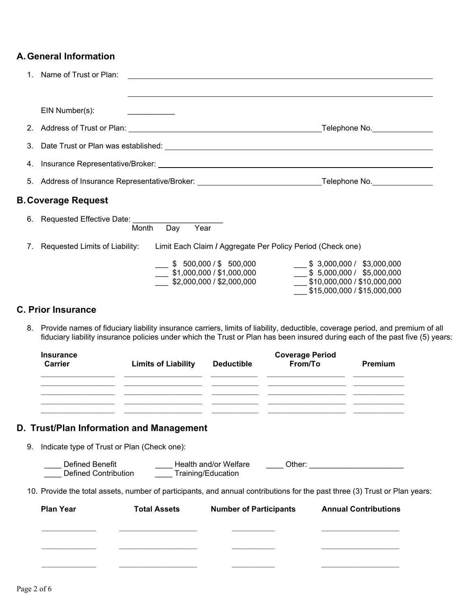### **A. General Information**

| 1. | Name of Trust or Plan:                                                                                                                                                                                                                                 |                                                                                                                                                               |
|----|--------------------------------------------------------------------------------------------------------------------------------------------------------------------------------------------------------------------------------------------------------|---------------------------------------------------------------------------------------------------------------------------------------------------------------|
|    |                                                                                                                                                                                                                                                        |                                                                                                                                                               |
|    | EIN Number(s):<br>the control of the control of the control of                                                                                                                                                                                         |                                                                                                                                                               |
| 2. |                                                                                                                                                                                                                                                        |                                                                                                                                                               |
|    |                                                                                                                                                                                                                                                        |                                                                                                                                                               |
|    |                                                                                                                                                                                                                                                        |                                                                                                                                                               |
| 5. | Address of Insurance Representative/Broker: Network and Controller and Telephone No. Network and Address of In                                                                                                                                         |                                                                                                                                                               |
|    | <b>B. Coverage Request</b>                                                                                                                                                                                                                             |                                                                                                                                                               |
| 6. | Requested Effective Date: Networkships and the set of the set of the set of the set of the set of the set of the set of the set of the set of the set of the set of the set of the set of the set of the set of the set of the<br>Month<br>Year<br>Day |                                                                                                                                                               |
|    | 7. Requested Limits of Liability:<br>Limit Each Claim / Aggregate Per Policy Period (Check one)                                                                                                                                                        |                                                                                                                                                               |
|    | \$500,000 / \$500,000<br>\$1,000,000 / \$1,000,000<br>\$2,000,000 / \$2,000,000                                                                                                                                                                        | $\frac{1}{2}$ \$ 3,000,000 / \$3,000,000<br>$\overline{\phantom{0}}$ \$ 5,000,000 / \$5,000,000<br>\$10,000,000 / \$10,000,000<br>\$15,000,000 / \$15,000,000 |

#### **C. Prior Insurance**

8. Provide names of fiduciary liability insurance carriers, limits of liability, deductible, coverage period, and premium of all fiduciary liability insurance policies under which the Trust or Plan has been insured during each of the past five (5) years:

| <b>Insurance</b><br><b>Carrier</b> | <b>Limits of Liability</b>                  | <b>Deductible</b> | <b>Coverage Period</b><br>From/To | Premium |
|------------------------------------|---------------------------------------------|-------------------|-----------------------------------|---------|
|                                    |                                             |                   |                                   |         |
|                                    |                                             |                   |                                   |         |
|                                    |                                             |                   |                                   |         |
|                                    | D. Trust/Plan Information and Management    |                   |                                   |         |
| 9.                                 | Indicate type of Trust or Plan (Check one): |                   |                                   |         |

| <b>Plan Year</b> | <b>Total Assets</b> | <b>Number of Participants</b> | <b>Annual Contributions</b> |
|------------------|---------------------|-------------------------------|-----------------------------|
|                  |                     |                               |                             |
|                  |                     |                               |                             |
|                  |                     |                               |                             |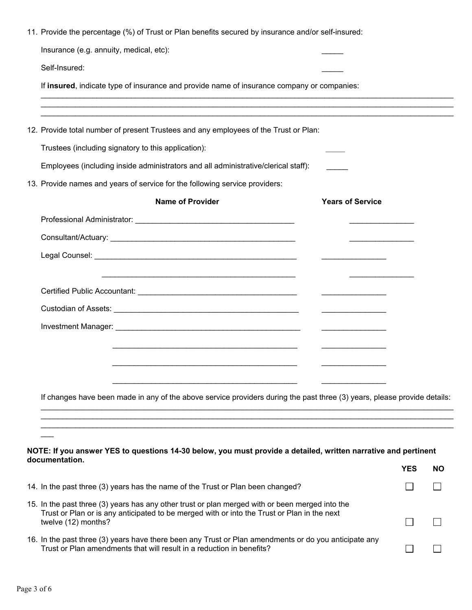| 11. Provide the percentage (%) of Trust or Plan benefits secured by insurance and/or self-insured:                                                                                                                    |                                                                                                                                                                                                                                      |                         |            |    |
|-----------------------------------------------------------------------------------------------------------------------------------------------------------------------------------------------------------------------|--------------------------------------------------------------------------------------------------------------------------------------------------------------------------------------------------------------------------------------|-------------------------|------------|----|
| Insurance (e.g. annuity, medical, etc):                                                                                                                                                                               |                                                                                                                                                                                                                                      |                         |            |    |
| Self-Insured:                                                                                                                                                                                                         |                                                                                                                                                                                                                                      |                         |            |    |
| If insured, indicate type of insurance and provide name of insurance company or companies:                                                                                                                            |                                                                                                                                                                                                                                      |                         |            |    |
| 12. Provide total number of present Trustees and any employees of the Trust or Plan:                                                                                                                                  |                                                                                                                                                                                                                                      |                         |            |    |
| Trustees (including signatory to this application):                                                                                                                                                                   |                                                                                                                                                                                                                                      |                         |            |    |
| Employees (including inside administrators and all administrative/clerical staff):                                                                                                                                    |                                                                                                                                                                                                                                      |                         |            |    |
| 13. Provide names and years of service for the following service providers:                                                                                                                                           |                                                                                                                                                                                                                                      |                         |            |    |
| <b>Name of Provider</b>                                                                                                                                                                                               |                                                                                                                                                                                                                                      | <b>Years of Service</b> |            |    |
|                                                                                                                                                                                                                       |                                                                                                                                                                                                                                      |                         |            |    |
|                                                                                                                                                                                                                       |                                                                                                                                                                                                                                      |                         |            |    |
|                                                                                                                                                                                                                       |                                                                                                                                                                                                                                      |                         |            |    |
|                                                                                                                                                                                                                       |                                                                                                                                                                                                                                      |                         |            |    |
|                                                                                                                                                                                                                       |                                                                                                                                                                                                                                      |                         |            |    |
|                                                                                                                                                                                                                       | <u> Alexandro Alexandro Alexandro Alexandro Alexandro Alexandro Alexandro Alexandro Alexandro Alexandro Alexandro Alexandro Alexandro Alexandro Alexandro Alexandro Alexandro Alexandro Alexandro Alexandro Alexandro Alexandro </u> |                         |            |    |
|                                                                                                                                                                                                                       |                                                                                                                                                                                                                                      |                         |            |    |
|                                                                                                                                                                                                                       |                                                                                                                                                                                                                                      |                         |            |    |
|                                                                                                                                                                                                                       |                                                                                                                                                                                                                                      |                         |            |    |
|                                                                                                                                                                                                                       |                                                                                                                                                                                                                                      |                         |            |    |
| If changes have been made in any of the above service providers during the past three (3) years, please provide details:                                                                                              |                                                                                                                                                                                                                                      |                         |            |    |
|                                                                                                                                                                                                                       |                                                                                                                                                                                                                                      |                         |            |    |
|                                                                                                                                                                                                                       |                                                                                                                                                                                                                                      |                         |            |    |
| NOTE: If you answer YES to questions 14-30 below, you must provide a detailed, written narrative and pertinent                                                                                                        |                                                                                                                                                                                                                                      |                         |            |    |
| documentation.                                                                                                                                                                                                        |                                                                                                                                                                                                                                      |                         | <b>YES</b> | NΟ |
| 14. In the past three (3) years has the name of the Trust or Plan been changed?                                                                                                                                       |                                                                                                                                                                                                                                      |                         |            |    |
| 15. In the past three (3) years has any other trust or plan merged with or been merged into the<br>Trust or Plan or is any anticipated to be merged with or into the Trust or Plan in the next<br>twelve (12) months? |                                                                                                                                                                                                                                      |                         |            |    |
|                                                                                                                                                                                                                       |                                                                                                                                                                                                                                      |                         |            |    |

16. In the past three (3) years have there been any Trust or Plan amendments or do you anticipate any Trust or Plan amendments that will result in a reduction in benefits?

 $\square$   $\square$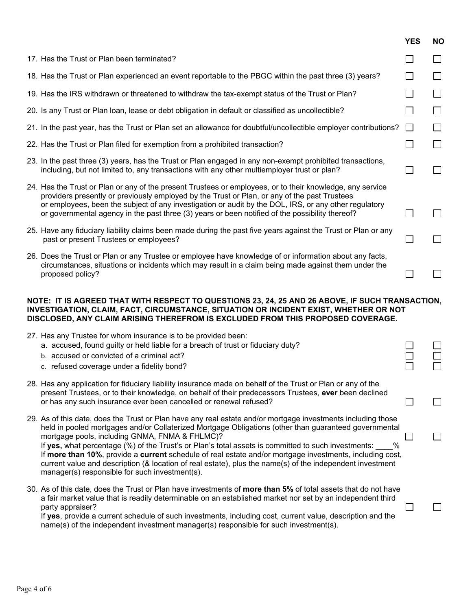|                                                                                                                                                                                                                                                                             |                                                                                                                                                                                                                                                                                                                                                                                                                                                                                                                                                                                                                                                                | <b>YES</b> | <b>NO</b>    |  |
|-----------------------------------------------------------------------------------------------------------------------------------------------------------------------------------------------------------------------------------------------------------------------------|----------------------------------------------------------------------------------------------------------------------------------------------------------------------------------------------------------------------------------------------------------------------------------------------------------------------------------------------------------------------------------------------------------------------------------------------------------------------------------------------------------------------------------------------------------------------------------------------------------------------------------------------------------------|------------|--------------|--|
|                                                                                                                                                                                                                                                                             | 17. Has the Trust or Plan been terminated?                                                                                                                                                                                                                                                                                                                                                                                                                                                                                                                                                                                                                     |            |              |  |
|                                                                                                                                                                                                                                                                             | 18. Has the Trust or Plan experienced an event reportable to the PBGC within the past three (3) years?                                                                                                                                                                                                                                                                                                                                                                                                                                                                                                                                                         |            |              |  |
|                                                                                                                                                                                                                                                                             | 19. Has the IRS withdrawn or threatened to withdraw the tax-exempt status of the Trust or Plan?                                                                                                                                                                                                                                                                                                                                                                                                                                                                                                                                                                |            | $\mathbf{I}$ |  |
|                                                                                                                                                                                                                                                                             | 20. Is any Trust or Plan loan, lease or debt obligation in default or classified as uncollectible?                                                                                                                                                                                                                                                                                                                                                                                                                                                                                                                                                             |            |              |  |
|                                                                                                                                                                                                                                                                             | 21. In the past year, has the Trust or Plan set an allowance for doubtful/uncollectible employer contributions?                                                                                                                                                                                                                                                                                                                                                                                                                                                                                                                                                | $\Box$     |              |  |
|                                                                                                                                                                                                                                                                             | 22. Has the Trust or Plan filed for exemption from a prohibited transaction?                                                                                                                                                                                                                                                                                                                                                                                                                                                                                                                                                                                   |            |              |  |
|                                                                                                                                                                                                                                                                             | 23. In the past three (3) years, has the Trust or Plan engaged in any non-exempt prohibited transactions,<br>including, but not limited to, any transactions with any other multiemployer trust or plan?                                                                                                                                                                                                                                                                                                                                                                                                                                                       |            |              |  |
|                                                                                                                                                                                                                                                                             | 24. Has the Trust or Plan or any of the present Trustees or employees, or to their knowledge, any service<br>providers presently or previously employed by the Trust or Plan, or any of the past Trustees<br>or employees, been the subject of any investigation or audit by the DOL, IRS, or any other regulatory<br>or governmental agency in the past three (3) years or been notified of the possibility thereof?                                                                                                                                                                                                                                          |            |              |  |
|                                                                                                                                                                                                                                                                             | 25. Have any fiduciary liability claims been made during the past five years against the Trust or Plan or any<br>past or present Trustees or employees?                                                                                                                                                                                                                                                                                                                                                                                                                                                                                                        |            |              |  |
|                                                                                                                                                                                                                                                                             | 26. Does the Trust or Plan or any Trustee or employee have knowledge of or information about any facts,<br>circumstances, situations or incidents which may result in a claim being made against them under the<br>proposed policy?                                                                                                                                                                                                                                                                                                                                                                                                                            |            |              |  |
| NOTE: IT IS AGREED THAT WITH RESPECT TO QUESTIONS 23, 24, 25 AND 26 ABOVE, IF SUCH TRANSACTION,<br>INVESTIGATION, CLAIM, FACT, CIRCUMSTANCE, SITUATION OR INCIDENT EXIST, WHETHER OR NOT<br>DISCLOSED, ANY CLAIM ARISING THEREFROM IS EXCLUDED FROM THIS PROPOSED COVERAGE. |                                                                                                                                                                                                                                                                                                                                                                                                                                                                                                                                                                                                                                                                |            |              |  |
|                                                                                                                                                                                                                                                                             | 27. Has any Trustee for whom insurance is to be provided been:<br>a. accused, found guilty or held liable for a breach of trust or fiduciary duty?<br>b. accused or convicted of a criminal act?<br>c. refused coverage under a fidelity bond?                                                                                                                                                                                                                                                                                                                                                                                                                 |            |              |  |
|                                                                                                                                                                                                                                                                             | 28. Has any application for fiduciary liability insurance made on behalf of the Trust or Plan or any of the<br>present Trustees, or to their knowledge, on behalf of their predecessors Trustees, ever been declined<br>or has any such insurance ever been cancelled or renewal refused?                                                                                                                                                                                                                                                                                                                                                                      |            |              |  |
|                                                                                                                                                                                                                                                                             | 29. As of this date, does the Trust or Plan have any real estate and/or mortgage investments including those<br>held in pooled mortgages and/or Collaterized Mortgage Obligations (other than guaranteed governmental<br>mortgage pools, including GNMA, FNMA & FHLMC)?<br>If yes, what percentage (%) of the Trust's or Plan's total assets is committed to such investments:<br>%<br>If more than 10%, provide a current schedule of real estate and/or mortgage investments, including cost,<br>current value and description (& location of real estate), plus the name(s) of the independent investment<br>manager(s) responsible for such investment(s). |            |              |  |
|                                                                                                                                                                                                                                                                             | 30. As of this date, does the Trust or Plan have investments of more than 5% of total assets that do not have<br>a fair market value that is readily determinable on an established market nor set by an independent third<br>party appraiser?<br>If yes, provide a current schedule of such investments, including cost, current value, description and the<br>name(s) of the independent investment manager(s) responsible for such investment(s).                                                                                                                                                                                                           |            |              |  |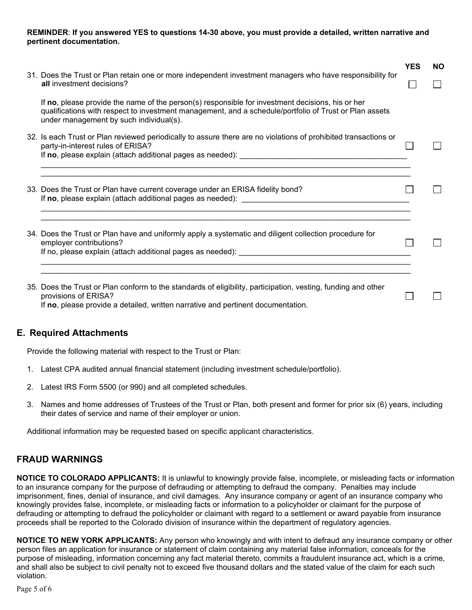#### **REMINDER**: **If you answered YES to questions 14-30 above, you must provide a detailed, written narrative and pertinent documentation.**

|                                                                                                                                                                                                                                                       | <b>YES</b> | <b>NO</b> |
|-------------------------------------------------------------------------------------------------------------------------------------------------------------------------------------------------------------------------------------------------------|------------|-----------|
| 31. Does the Trust or Plan retain one or more independent investment managers who have responsibility for<br>all investment decisions?                                                                                                                |            |           |
| If no, please provide the name of the person(s) responsible for investment decisions, his or her<br>qualifications with respect to investment management, and a schedule/portfolio of Trust or Plan assets<br>under management by such individual(s). |            |           |
| 32. Is each Trust or Plan reviewed periodically to assure there are no violations of prohibited transactions or<br>party-in-interest rules of ERISA?                                                                                                  |            |           |
| 33. Does the Trust or Plan have current coverage under an ERISA fidelity bond?                                                                                                                                                                        |            |           |
| 34. Does the Trust or Plan have and uniformly apply a systematic and diligent collection procedure for<br>employer contributions?                                                                                                                     |            |           |
| 35. Does the Trust or Plan conform to the standards of eligibility, participation, vesting, funding and other<br>provisions of ERISA?<br>If no, please provide a detailed, written narrative and pertinent documentation.                             |            |           |

#### **E. Required Attachments**

Provide the following material with respect to the Trust or Plan:

- 1. Latest CPA audited annual financial statement (including investment schedule/portfolio).
- 2. Latest IRS Form 5500 (or 990) and all completed schedules.
- 3. Names and home addresses of Trustees of the Trust or Plan, both present and former for prior six (6) years, including their dates of service and name of their employer or union.

Additional information may be requested based on specific applicant characteristics.

#### **FRAUD WARNINGS**

**NOTICE TO COLORADO APPLICANTS:** It is unlawful to knowingly provide false, incomplete, or misleading facts or information to an insurance company for the purpose of defrauding or attempting to defraud the company. Penalties may include imprisonment, fines, denial of insurance, and civil damages. Any insurance company or agent of an insurance company who knowingly provides false, incomplete, or misleading facts or information to a policyholder or claimant for the purpose of defrauding or attempting to defraud the policyholder or claimant with regard to a settlement or award payable from insurance proceeds shall be reported to the Colorado division of insurance within the department of regulatory agencies.

**NOTICE TO NEW YORK APPLICANTS:** Any person who knowingly and with intent to defraud any insurance company or other person files an application for insurance or statement of claim containing any material false information, conceals for the purpose of misleading, information concerning any fact material thereto, commits a fraudulent insurance act, which is a crime, and shall also be subject to civil penalty not to exceed five thousand dollars and the stated value of the claim for each such violation.